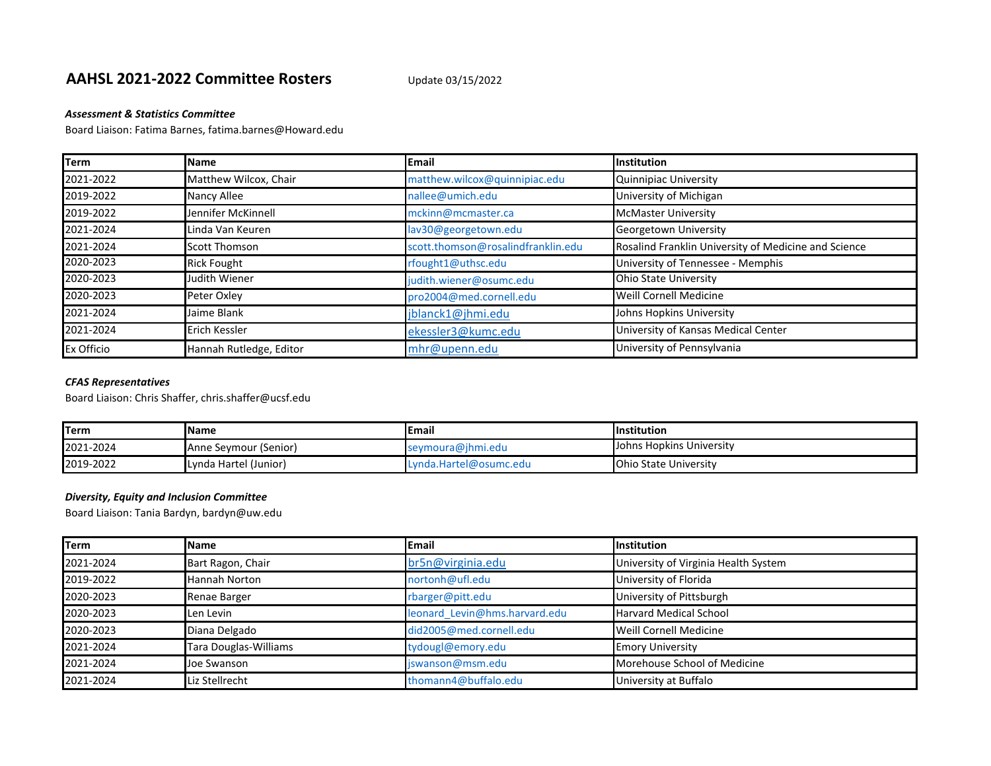# **AAHSL 2021-2022 Committee Rosters** Update 03/15/2022

### *Assessment & Statistics Committee*

Board Liaison: Fatima Barnes, fatima.barnes@Howard.edu

| Term              | <b>Name</b>             | <b>IEmail</b>                      | <b>Institution</b>                                   |
|-------------------|-------------------------|------------------------------------|------------------------------------------------------|
| 2021-2022         | Matthew Wilcox, Chair   | matthew.wilcox@quinnipiac.edu      | Quinnipiac University                                |
| 2019-2022         | Nancy Allee             | nallee@umich.edu                   | University of Michigan                               |
| 2019-2022         | Jennifer McKinnell      | mckinn@mcmaster.ca                 | <b>McMaster University</b>                           |
| 2021-2024         | Linda Van Keuren        | lav30@georgetown.edu               | Georgetown University                                |
| 2021-2024         | <b>Scott Thomson</b>    | scott.thomson@rosalindfranklin.edu | Rosalind Franklin University of Medicine and Science |
| 2020-2023         | <b>Rick Fought</b>      | rfought1@uthsc.edu                 | University of Tennessee - Memphis                    |
| 2020-2023         | Judith Wiener           | judith.wiener@osumc.edu            | <b>Ohio State University</b>                         |
| 2020-2023         | Peter Oxley             | pro2004@med.cornell.edu            | <b>Weill Cornell Medicine</b>                        |
| 2021-2024         | Jaime Blank             | jblanck1@jhmi.edu                  | Johns Hopkins University                             |
| 2021-2024         | Erich Kessler           | ekessler3@kumc.edu                 | University of Kansas Medical Center                  |
| <b>Ex Officio</b> | Hannah Rutledge, Editor | mhr@upenn.edu                      | University of Pennsylvania                           |

### *CFAS Representatives*

Board Liaison: Chris Shaffer, chris.shaffer@ucsf.edu

| <b>Term</b> | <b>IName</b>          | <b>IEmail</b>          | <b>Institution</b>       |
|-------------|-----------------------|------------------------|--------------------------|
| 2021-2024   | Anne Seymour (Senior) | seymoura@jhmi.edu      | Johns Hopkins University |
| 2019-2022   | Lynda Hartel (Junior) | Lynda.Hartel@osumc.edu | Ohio State University    |

## *Diversity, Equity and Inclusion Committee*

Board Liaison: Tania Bardyn, bardyn@uw.edu

| <b>Term</b> | <b>Name</b>                  | <b>IEmail</b>                 | <b>Institution</b>                   |
|-------------|------------------------------|-------------------------------|--------------------------------------|
| 2021-2024   | Bart Ragon, Chair            | br5n@virginia.edu             | University of Virginia Health System |
| 2019-2022   | Hannah Norton                | nortonh@ufl.edu               | University of Florida                |
| 2020-2023   | Renae Barger                 | rbarger@pitt.edu              | University of Pittsburgh             |
| 2020-2023   | Len Levin                    | leonard Levin@hms.harvard.edu | <b>Harvard Medical School</b>        |
| 2020-2023   | Diana Delgado                | did2005@med.cornell.edu       | <b>Weill Cornell Medicine</b>        |
| 2021-2024   | <b>Tara Douglas-Williams</b> | tydougl@emory.edu             | <b>Emory University</b>              |
| 2021-2024   | Joe Swanson                  | jswanson@msm.edu              | Morehouse School of Medicine         |
| 2021-2024   | Liz Stellrecht               | thomann4@buffalo.edu          | University at Buffalo                |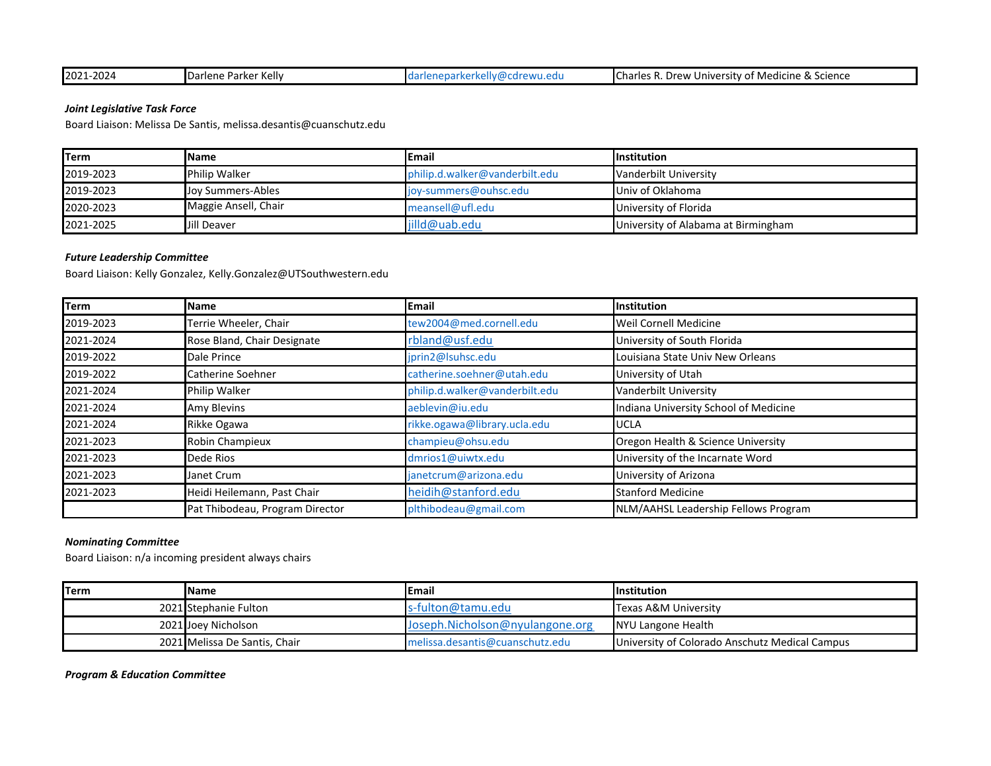| 1202.<br>21-2024 | <b>Darlene</b><br>Ð<br>シコトレー<br>' Kellv<br>FAINEL | <b>ONI</b><br>$\sim$<br>t.euu | ್& Science<br>Drew<br>University of<br>icine<br>.cnar<br>,,,,,,<br>vicui<br>162. 11. |
|------------------|---------------------------------------------------|-------------------------------|--------------------------------------------------------------------------------------|

#### *Joint Legislative Task Force*

Board Liaison: Melissa De Santis, melissa.desantis@cuanschutz.edu

| <b>Term</b> | <b>I</b> Name            | <b>Email</b>                   | <b>Institution</b>                  |
|-------------|--------------------------|--------------------------------|-------------------------------------|
| 2019-2023   | <b>Philip Walker</b>     | philip.d.walker@vanderbilt.edu | Vanderbilt University               |
| 2019-2023   | <b>Joy Summers-Ables</b> | joy-summers@ouhsc.edu          | Univ of Oklahoma                    |
| 2020-2023   | Maggie Ansell, Chair     | meansell@ufl.edu               | University of Florida               |
| 2021-2025   | Uill Deaver              | jilld@uab.edu                  | University of Alabama at Birmingham |

#### *Future Leadership Committee*

Board Liaison: Kelly Gonzalez, Kelly.Gonzalez@UTSouthwestern.edu

| <b>Term</b> | <b>Name</b>                     | <b>IEmail</b>                  | Institution                           |
|-------------|---------------------------------|--------------------------------|---------------------------------------|
| 2019-2023   | Terrie Wheeler, Chair           | tew2004@med.cornell.edu        | <b>Weil Cornell Medicine</b>          |
| 2021-2024   | Rose Bland, Chair Designate     | rbland@usf.edu                 | University of South Florida           |
| 2019-2022   | Dale Prince                     | jprin2@lsuhsc.edu              | Louisiana State Univ New Orleans      |
| 2019-2022   | Catherine Soehner               | catherine.soehner@utah.edu     | University of Utah                    |
| 2021-2024   | Philip Walker                   | philip.d.walker@vanderbilt.edu | Vanderbilt University                 |
| 2021-2024   | Amy Blevins                     | aeblevin@iu.edu                | Indiana University School of Medicine |
| 2021-2024   | Rikke Ogawa                     | rikke.ogawa@library.ucla.edu   | <b>UCLA</b>                           |
| 2021-2023   | Robin Champieux                 | champieu@ohsu.edu              | Oregon Health & Science University    |
| 2021-2023   | Dede Rios                       | dmrios1@uiwtx.edu              | University of the Incarnate Word      |
| 2021-2023   | Janet Crum                      | janetcrum@arizona.edu          | University of Arizona                 |
| 2021-2023   | Heidi Heilemann, Past Chair     | heidih@stanford.edu            | <b>Stanford Medicine</b>              |
|             | Pat Thibodeau, Program Director | plthibodeau@gmail.com          | NLM/AAHSL Leadership Fellows Program  |

### *Nominating Committee*

Board Liaison: n/a incoming president always chairs

| lTerm | <b>I</b> Name                 | <b>IEmail</b>                   | <b>Institution</b>                             |
|-------|-------------------------------|---------------------------------|------------------------------------------------|
|       | 2021 Stephanie Fulton         | s-fulton@tamu.edu               | Texas A&M University                           |
|       | 2021 Joev Nicholson           | Joseph.Nicholson@nyulangone.org | NYU Langone Health                             |
|       | 2021 Melissa De Santis, Chair | melissa.desantis@cuanschutz.edu | University of Colorado Anschutz Medical Campus |

*Program & Education Committee*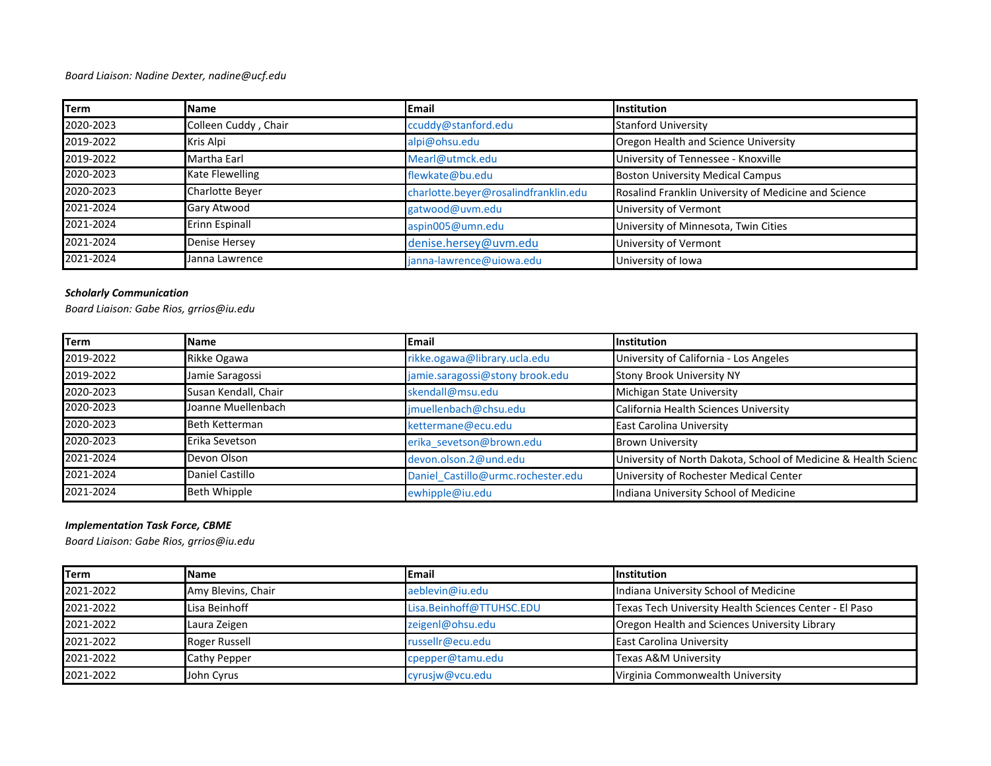#### *Board Liaison: Nadine Dexter, nadine@ucf.edu*

| <b>Term</b> | Name                 | <b>IEmail</b>                        | <b>Institution</b>                                   |
|-------------|----------------------|--------------------------------------|------------------------------------------------------|
| 2020-2023   | Colleen Cuddy, Chair | ccuddy@stanford.edu                  | <b>Stanford University</b>                           |
| 2019-2022   | Kris Alpi            | alpi@ohsu.edu                        | Oregon Health and Science University                 |
| 2019-2022   | Martha Earl          | Mearl@utmck.edu                      | University of Tennessee - Knoxville                  |
| 2020-2023   | Kate Flewelling      | flewkate@bu.edu                      | <b>Boston University Medical Campus</b>              |
| 2020-2023   | Charlotte Beyer      | charlotte.beyer@rosalindfranklin.edu | Rosalind Franklin University of Medicine and Science |
| 2021-2024   | <b>Gary Atwood</b>   | gatwood@uvm.edu                      | University of Vermont                                |
| 2021-2024   | Erinn Espinall       | aspin005@umn.edu                     | University of Minnesota, Twin Cities                 |
| 2021-2024   | <b>Denise Hersey</b> | denise.hersey@uvm.edu                | University of Vermont                                |
| 2021-2024   | Janna Lawrence       | janna-lawrence@uiowa.edu             | University of Iowa                                   |

## *Scholarly Communication*

*Board Liaison: Gabe Rios, grrios@iu.edu*

| <b>Term</b> | Name                 | Email                              | Institution                                                    |
|-------------|----------------------|------------------------------------|----------------------------------------------------------------|
| 2019-2022   | Rikke Ogawa          | rikke.ogawa@library.ucla.edu       | University of California - Los Angeles                         |
| 2019-2022   | Jamie Saragossi      | jamie.saragossi@stony brook.edu    | <b>Stony Brook University NY</b>                               |
| 2020-2023   | Susan Kendall, Chair | skendall@msu.edu                   | Michigan State University                                      |
| 2020-2023   | Joanne Muellenbach   | jmuellenbach@chsu.edu              | California Health Sciences University                          |
| 2020-2023   | Beth Ketterman       | kettermane@ecu.edu                 | <b>East Carolina University</b>                                |
| 2020-2023   | Erika Sevetson       | erika sevetson@brown.edu           | <b>Brown University</b>                                        |
| 2021-2024   | Devon Olson          | devon.olson.2@und.edu              | University of North Dakota, School of Medicine & Health Scienc |
| 2021-2024   | Daniel Castillo      | Daniel_Castillo@urmc.rochester.edu | University of Rochester Medical Center                         |
| 2021-2024   | <b>Beth Whipple</b>  | ewhipple@iu.edu                    | Indiana University School of Medicine                          |

# *Implementation Task Force, CBME*

*Board Liaison: Gabe Rios, grrios@iu.edu*

| <b>ITerm</b> | <b>Name</b>        | Email                    | <b>Institution</b>                                     |
|--------------|--------------------|--------------------------|--------------------------------------------------------|
| 2021-2022    | Amy Blevins, Chair | aeblevin@iu.edu          | Indiana University School of Medicine                  |
| 2021-2022    | Lisa Beinhoff      | Lisa.Beinhoff@TTUHSC.EDU | Texas Tech University Health Sciences Center - El Paso |
| 2021-2022    | Laura Zeigen       | zeigenl@ohsu.edu         | Oregon Health and Sciences University Library          |
| 2021-2022    | Roger Russell      | russellr@ecu.edu         | <b>East Carolina University</b>                        |
| 2021-2022    | Cathy Pepper       | cpepper@tamu.edu         | <b>Texas A&amp;M University</b>                        |
| 2021-2022    | John Cyrus         | cyrusjw@vcu.edu          | Virginia Commonwealth University                       |